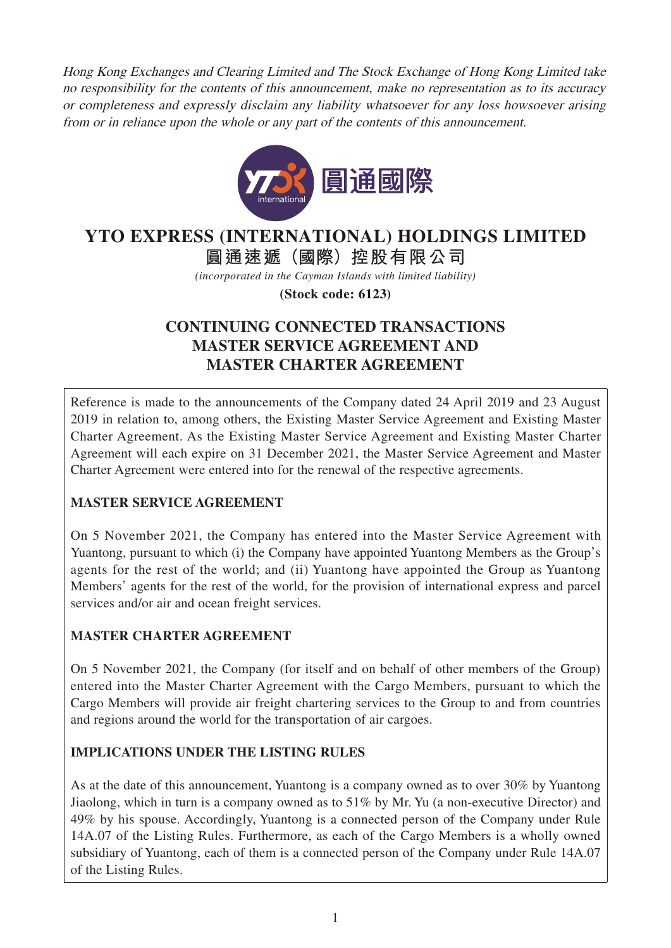Hong Kong Exchanges and Clearing Limited and The Stock Exchange of Hong Kong Limited take no responsibility for the contents of this announcement, make no representation as to its accuracy or completeness and expressly disclaim any liability whatsoever for any loss howsoever arising from or in reliance upon the whole or any part of the contents of this announcement.



# **YTO EXPRESS (INTERNATIONAL) HOLDINGS LIMITED**

**圓通速遞(國際)控股有限公司**

*(incorporated in the Cayman Islands with limited liability)*

**(Stock code: 6123)**

# **CONTINUING CONNECTED TRANSACTIONS MASTER SERVICE AGREEMENT AND MASTER CHARTER AGREEMENT**

Reference is made to the announcements of the Company dated 24 April 2019 and 23 August 2019 in relation to, among others, the Existing Master Service Agreement and Existing Master Charter Agreement. As the Existing Master Service Agreement and Existing Master Charter Agreement will each expire on 31 December 2021, the Master Service Agreement and Master Charter Agreement were entered into for the renewal of the respective agreements.

# **MASTER SERVICE AGREEMENT**

On 5 November 2021, the Company has entered into the Master Service Agreement with Yuantong, pursuant to which (i) the Company have appointed Yuantong Members as the Group's agents for the rest of the world; and (ii) Yuantong have appointed the Group as Yuantong Members' agents for the rest of the world, for the provision of international express and parcel services and/or air and ocean freight services.

# **MASTER CHARTER AGREEMENT**

On 5 November 2021, the Company (for itself and on behalf of other members of the Group) entered into the Master Charter Agreement with the Cargo Members, pursuant to which the Cargo Members will provide air freight chartering services to the Group to and from countries and regions around the world for the transportation of air cargoes.

# **IMPLICATIONS UNDER THE LISTING RULES**

As at the date of this announcement, Yuantong is a company owned as to over 30% by Yuantong Jiaolong, which in turn is a company owned as to 51% by Mr. Yu (a non-executive Director) and 49% by his spouse. Accordingly, Yuantong is a connected person of the Company under Rule 14A.07 of the Listing Rules. Furthermore, as each of the Cargo Members is a wholly owned subsidiary of Yuantong, each of them is a connected person of the Company under Rule 14A.07 of the Listing Rules.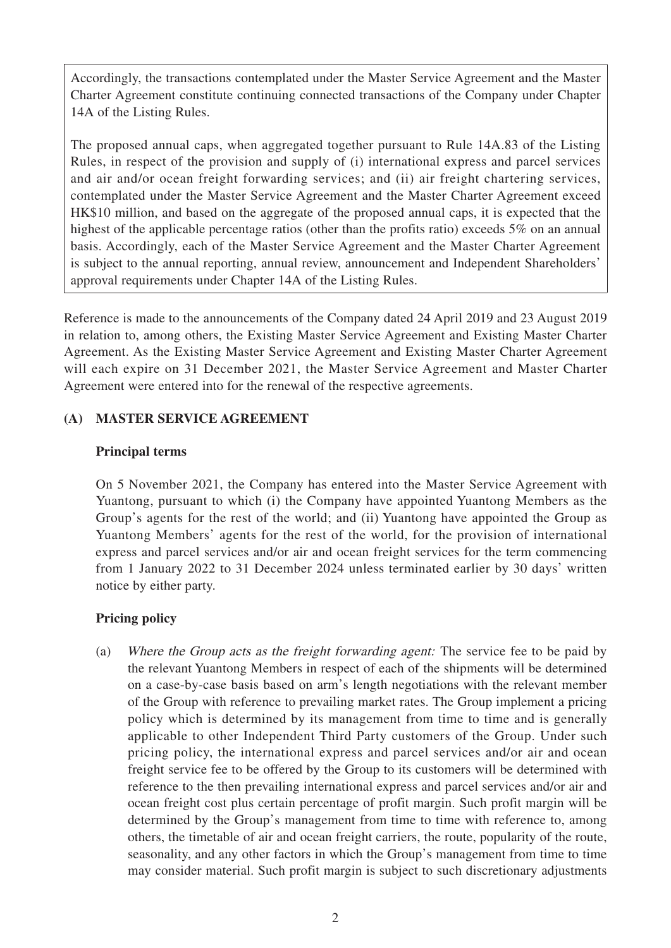Accordingly, the transactions contemplated under the Master Service Agreement and the Master Charter Agreement constitute continuing connected transactions of the Company under Chapter 14A of the Listing Rules.

The proposed annual caps, when aggregated together pursuant to Rule 14A.83 of the Listing Rules, in respect of the provision and supply of (i) international express and parcel services and air and/or ocean freight forwarding services; and (ii) air freight chartering services, contemplated under the Master Service Agreement and the Master Charter Agreement exceed HK\$10 million, and based on the aggregate of the proposed annual caps, it is expected that the highest of the applicable percentage ratios (other than the profits ratio) exceeds 5% on an annual basis. Accordingly, each of the Master Service Agreement and the Master Charter Agreement is subject to the annual reporting, annual review, announcement and Independent Shareholders' approval requirements under Chapter 14A of the Listing Rules.

Reference is made to the announcements of the Company dated 24 April 2019 and 23 August 2019 in relation to, among others, the Existing Master Service Agreement and Existing Master Charter Agreement. As the Existing Master Service Agreement and Existing Master Charter Agreement will each expire on 31 December 2021, the Master Service Agreement and Master Charter Agreement were entered into for the renewal of the respective agreements.

# **(A) MASTER SERVICE AGREEMENT**

### **Principal terms**

On 5 November 2021, the Company has entered into the Master Service Agreement with Yuantong, pursuant to which (i) the Company have appointed Yuantong Members as the Group's agents for the rest of the world; and (ii) Yuantong have appointed the Group as Yuantong Members' agents for the rest of the world, for the provision of international express and parcel services and/or air and ocean freight services for the term commencing from 1 January 2022 to 31 December 2024 unless terminated earlier by 30 days' written notice by either party.

# **Pricing policy**

(a) Where the Group acts as the freight forwarding agent: The service fee to be paid by the relevant Yuantong Members in respect of each of the shipments will be determined on a case-by-case basis based on arm's length negotiations with the relevant member of the Group with reference to prevailing market rates. The Group implement a pricing policy which is determined by its management from time to time and is generally applicable to other Independent Third Party customers of the Group. Under such pricing policy, the international express and parcel services and/or air and ocean freight service fee to be offered by the Group to its customers will be determined with reference to the then prevailing international express and parcel services and/or air and ocean freight cost plus certain percentage of profit margin. Such profit margin will be determined by the Group's management from time to time with reference to, among others, the timetable of air and ocean freight carriers, the route, popularity of the route, seasonality, and any other factors in which the Group's management from time to time may consider material. Such profit margin is subject to such discretionary adjustments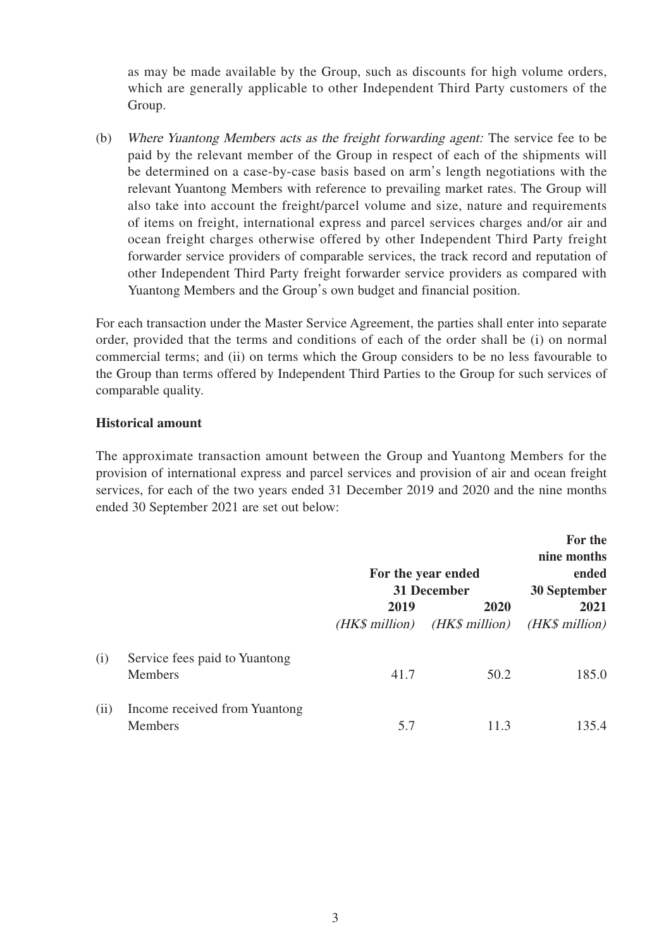as may be made available by the Group, such as discounts for high volume orders, which are generally applicable to other Independent Third Party customers of the Group.

(b) Where Yuantong Members acts as the freight forwarding agent: The service fee to be paid by the relevant member of the Group in respect of each of the shipments will be determined on a case-by-case basis based on arm's length negotiations with the relevant Yuantong Members with reference to prevailing market rates. The Group will also take into account the freight/parcel volume and size, nature and requirements of items on freight, international express and parcel services charges and/or air and ocean freight charges otherwise offered by other Independent Third Party freight forwarder service providers of comparable services, the track record and reputation of other Independent Third Party freight forwarder service providers as compared with Yuantong Members and the Group's own budget and financial position.

For each transaction under the Master Service Agreement, the parties shall enter into separate order, provided that the terms and conditions of each of the order shall be (i) on normal commercial terms; and (ii) on terms which the Group considers to be no less favourable to the Group than terms offered by Independent Third Parties to the Group for such services of comparable quality.

#### **Historical amount**

The approximate transaction amount between the Group and Yuantong Members for the provision of international express and parcel services and provision of air and ocean freight services, for each of the two years ended 31 December 2019 and 2020 and the nine months ended 30 September 2021 are set out below:

|      |                                          |                        | For the year ended<br><b>31 December</b> | For the<br>nine months<br>ended<br>30 September |
|------|------------------------------------------|------------------------|------------------------------------------|-------------------------------------------------|
|      |                                          | 2019<br>(HK\$ million) | 2020<br>(HK\$ million)                   | 2021<br>(HK\$ million)                          |
| (i)  | Service fees paid to Yuantong<br>Members | 41.7                   | 50.2                                     | 185.0                                           |
| (ii) | Income received from Yuantong<br>Members | 5.7                    | 11.3                                     | 135.4                                           |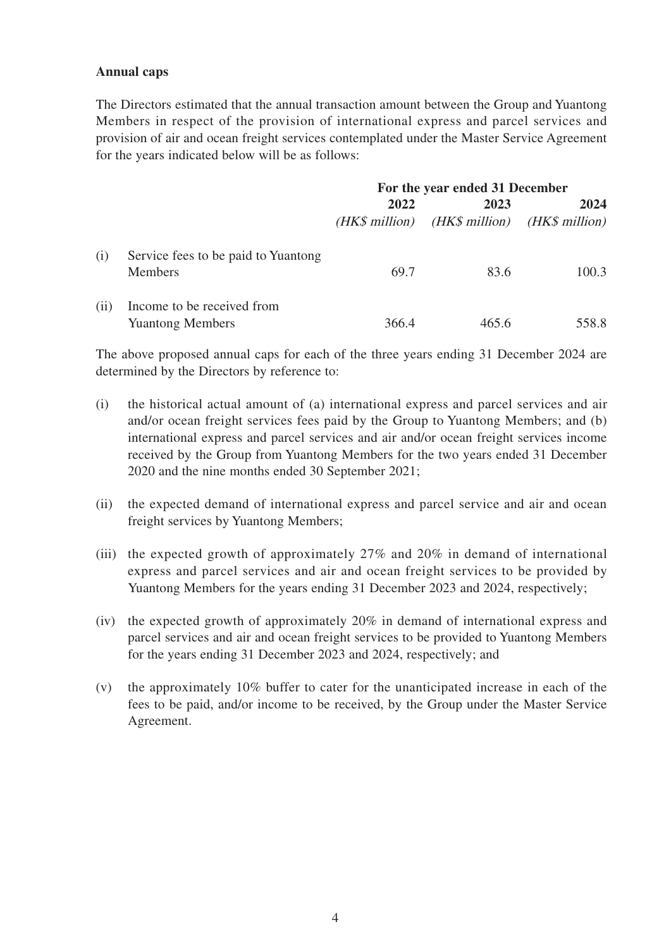#### **Annual caps**

The Directors estimated that the annual transaction amount between the Group and Yuantong Members in respect of the provision of international express and parcel services and provision of air and ocean freight services contemplated under the Master Service Agreement for the years indicated below will be as follows:

|      |                                                       | For the year ended 31 December |                                         |       |
|------|-------------------------------------------------------|--------------------------------|-----------------------------------------|-------|
|      |                                                       | 2022<br>(HK\$ million)         | 2023<br>$(HK\$ million) $(HK\$ million) | 2024  |
| (i)  | Service fees to be paid to Yuantong<br><b>Members</b> | 69.7                           | 83.6                                    | 100.3 |
| (ii) | Income to be received from<br><b>Yuantong Members</b> | 366.4                          | 465.6                                   | 558.8 |

The above proposed annual caps for each of the three years ending 31 December 2024 are determined by the Directors by reference to:

- (i) the historical actual amount of (a) international express and parcel services and air and/or ocean freight services fees paid by the Group to Yuantong Members; and (b) international express and parcel services and air and/or ocean freight services income received by the Group from Yuantong Members for the two years ended 31 December 2020 and the nine months ended 30 September 2021;
- (ii) the expected demand of international express and parcel service and air and ocean freight services by Yuantong Members;
- (iii) the expected growth of approximately 27% and 20% in demand of international express and parcel services and air and ocean freight services to be provided by Yuantong Members for the years ending 31 December 2023 and 2024, respectively;
- (iv) the expected growth of approximately 20% in demand of international express and parcel services and air and ocean freight services to be provided to Yuantong Members for the years ending 31 December 2023 and 2024, respectively; and
- (v) the approximately 10% buffer to cater for the unanticipated increase in each of the fees to be paid, and/or income to be received, by the Group under the Master Service Agreement.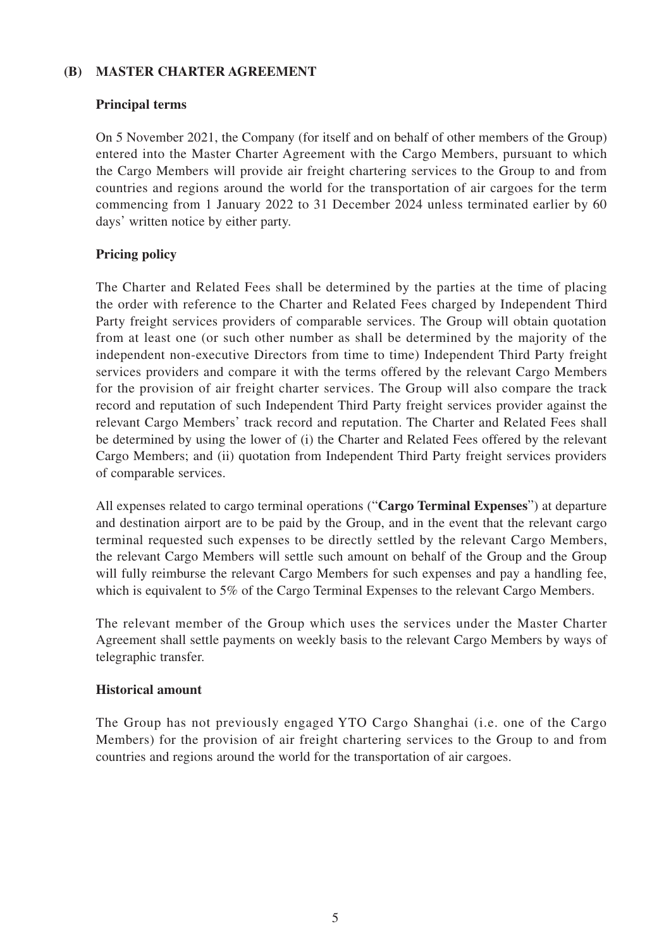### **(B) MASTER CHARTER AGREEMENT**

#### **Principal terms**

On 5 November 2021, the Company (for itself and on behalf of other members of the Group) entered into the Master Charter Agreement with the Cargo Members, pursuant to which the Cargo Members will provide air freight chartering services to the Group to and from countries and regions around the world for the transportation of air cargoes for the term commencing from 1 January 2022 to 31 December 2024 unless terminated earlier by 60 days' written notice by either party.

# **Pricing policy**

The Charter and Related Fees shall be determined by the parties at the time of placing the order with reference to the Charter and Related Fees charged by Independent Third Party freight services providers of comparable services. The Group will obtain quotation from at least one (or such other number as shall be determined by the majority of the independent non-executive Directors from time to time) Independent Third Party freight services providers and compare it with the terms offered by the relevant Cargo Members for the provision of air freight charter services. The Group will also compare the track record and reputation of such Independent Third Party freight services provider against the relevant Cargo Members' track record and reputation. The Charter and Related Fees shall be determined by using the lower of (i) the Charter and Related Fees offered by the relevant Cargo Members; and (ii) quotation from Independent Third Party freight services providers of comparable services.

All expenses related to cargo terminal operations ("**Cargo Terminal Expenses**") at departure and destination airport are to be paid by the Group, and in the event that the relevant cargo terminal requested such expenses to be directly settled by the relevant Cargo Members, the relevant Cargo Members will settle such amount on behalf of the Group and the Group will fully reimburse the relevant Cargo Members for such expenses and pay a handling fee, which is equivalent to 5% of the Cargo Terminal Expenses to the relevant Cargo Members.

The relevant member of the Group which uses the services under the Master Charter Agreement shall settle payments on weekly basis to the relevant Cargo Members by ways of telegraphic transfer.

### **Historical amount**

The Group has not previously engaged YTO Cargo Shanghai (i.e. one of the Cargo Members) for the provision of air freight chartering services to the Group to and from countries and regions around the world for the transportation of air cargoes.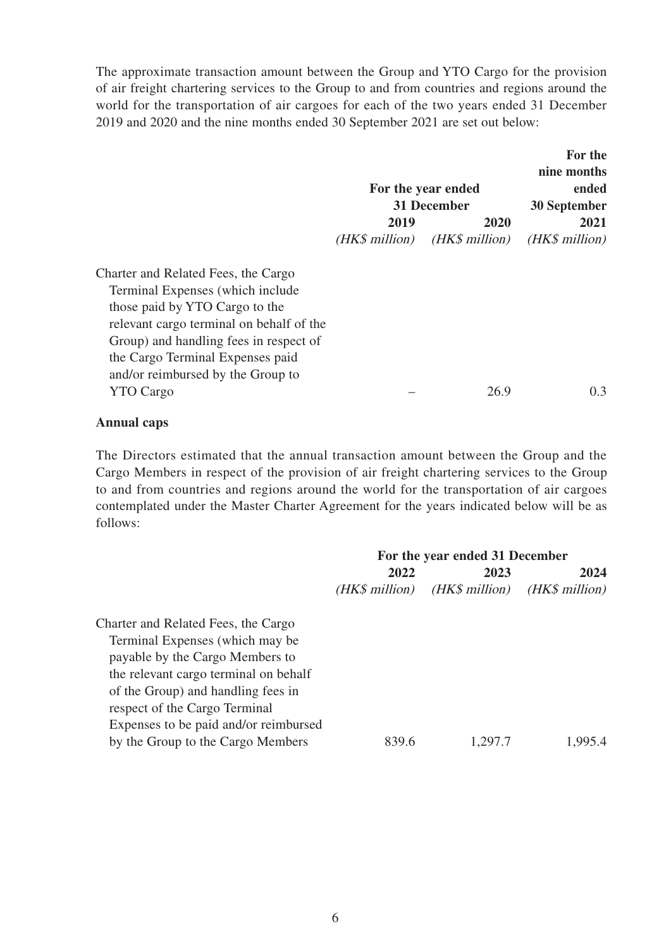The approximate transaction amount between the Group and YTO Cargo for the provision of air freight chartering services to the Group to and from countries and regions around the world for the transportation of air cargoes for each of the two years ended 31 December 2019 and 2020 and the nine months ended 30 September 2021 are set out below:

|                                          |                | For the year ended<br>31 December | For the<br>nine months<br>ended<br>30 September |
|------------------------------------------|----------------|-----------------------------------|-------------------------------------------------|
|                                          | 2019           | 2020                              | 2021                                            |
|                                          | (HK\$ million) | (HK\$ million)                    | (HK\$ million)                                  |
| Charter and Related Fees, the Cargo      |                |                                   |                                                 |
| Terminal Expenses (which include         |                |                                   |                                                 |
| those paid by YTO Cargo to the           |                |                                   |                                                 |
| relevant cargo terminal on behalf of the |                |                                   |                                                 |
| Group) and handling fees in respect of   |                |                                   |                                                 |
| the Cargo Terminal Expenses paid         |                |                                   |                                                 |
| and/or reimbursed by the Group to        |                |                                   |                                                 |
| <b>YTO Cargo</b>                         |                | 26.9                              | 0.3                                             |

#### **Annual caps**

The Directors estimated that the annual transaction amount between the Group and the Cargo Members in respect of the provision of air freight chartering services to the Group to and from countries and regions around the world for the transportation of air cargoes contemplated under the Master Charter Agreement for the years indicated below will be as follows:

|                                       | For the year ended 31 December |                 |                |
|---------------------------------------|--------------------------------|-----------------|----------------|
|                                       | 2022                           | 2023            | 2024           |
|                                       | (HK\$ million)                 | $(HK\$ million) | (HK\$ million) |
| Charter and Related Fees, the Cargo   |                                |                 |                |
| Terminal Expenses (which may be       |                                |                 |                |
| payable by the Cargo Members to       |                                |                 |                |
| the relevant cargo terminal on behalf |                                |                 |                |
| of the Group) and handling fees in    |                                |                 |                |
| respect of the Cargo Terminal         |                                |                 |                |
| Expenses to be paid and/or reimbursed |                                |                 |                |
| by the Group to the Cargo Members     | 839.6                          | 1,297.7         | 1.995.4        |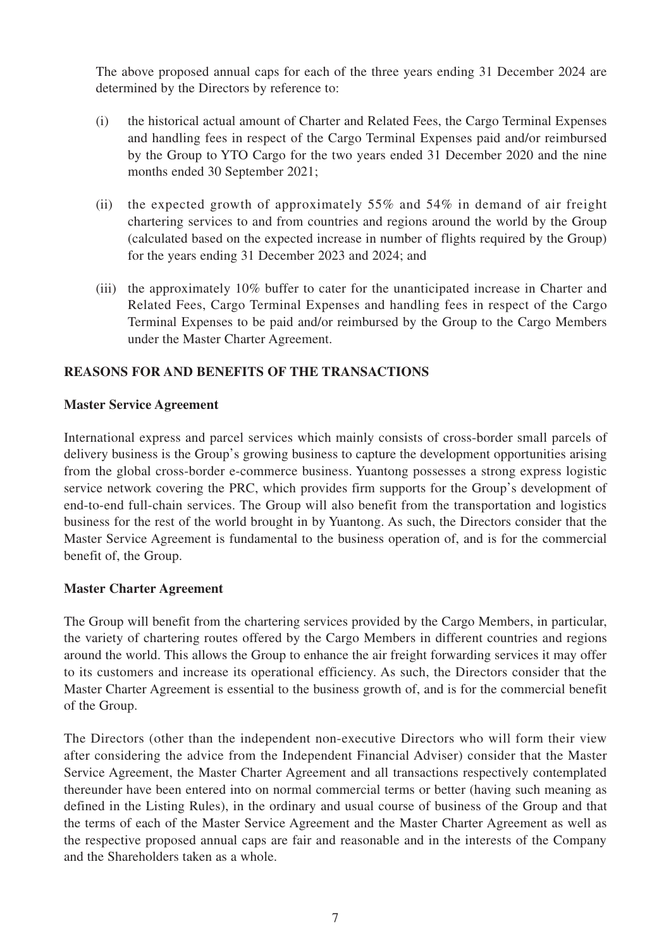The above proposed annual caps for each of the three years ending 31 December 2024 are determined by the Directors by reference to:

- (i) the historical actual amount of Charter and Related Fees, the Cargo Terminal Expenses and handling fees in respect of the Cargo Terminal Expenses paid and/or reimbursed by the Group to YTO Cargo for the two years ended 31 December 2020 and the nine months ended 30 September 2021;
- (ii) the expected growth of approximately  $55\%$  and  $54\%$  in demand of air freight chartering services to and from countries and regions around the world by the Group (calculated based on the expected increase in number of flights required by the Group) for the years ending 31 December 2023 and 2024; and
- (iii) the approximately 10% buffer to cater for the unanticipated increase in Charter and Related Fees, Cargo Terminal Expenses and handling fees in respect of the Cargo Terminal Expenses to be paid and/or reimbursed by the Group to the Cargo Members under the Master Charter Agreement.

# **REASONS FOR AND BENEFITS OF THE TRANSACTIONS**

#### **Master Service Agreement**

International express and parcel services which mainly consists of cross-border small parcels of delivery business is the Group's growing business to capture the development opportunities arising from the global cross-border e-commerce business. Yuantong possesses a strong express logistic service network covering the PRC, which provides firm supports for the Group's development of end-to-end full-chain services. The Group will also benefit from the transportation and logistics business for the rest of the world brought in by Yuantong. As such, the Directors consider that the Master Service Agreement is fundamental to the business operation of, and is for the commercial benefit of, the Group.

### **Master Charter Agreement**

The Group will benefit from the chartering services provided by the Cargo Members, in particular, the variety of chartering routes offered by the Cargo Members in different countries and regions around the world. This allows the Group to enhance the air freight forwarding services it may offer to its customers and increase its operational efficiency. As such, the Directors consider that the Master Charter Agreement is essential to the business growth of, and is for the commercial benefit of the Group.

The Directors (other than the independent non-executive Directors who will form their view after considering the advice from the Independent Financial Adviser) consider that the Master Service Agreement, the Master Charter Agreement and all transactions respectively contemplated thereunder have been entered into on normal commercial terms or better (having such meaning as defined in the Listing Rules), in the ordinary and usual course of business of the Group and that the terms of each of the Master Service Agreement and the Master Charter Agreement as well as the respective proposed annual caps are fair and reasonable and in the interests of the Company and the Shareholders taken as a whole.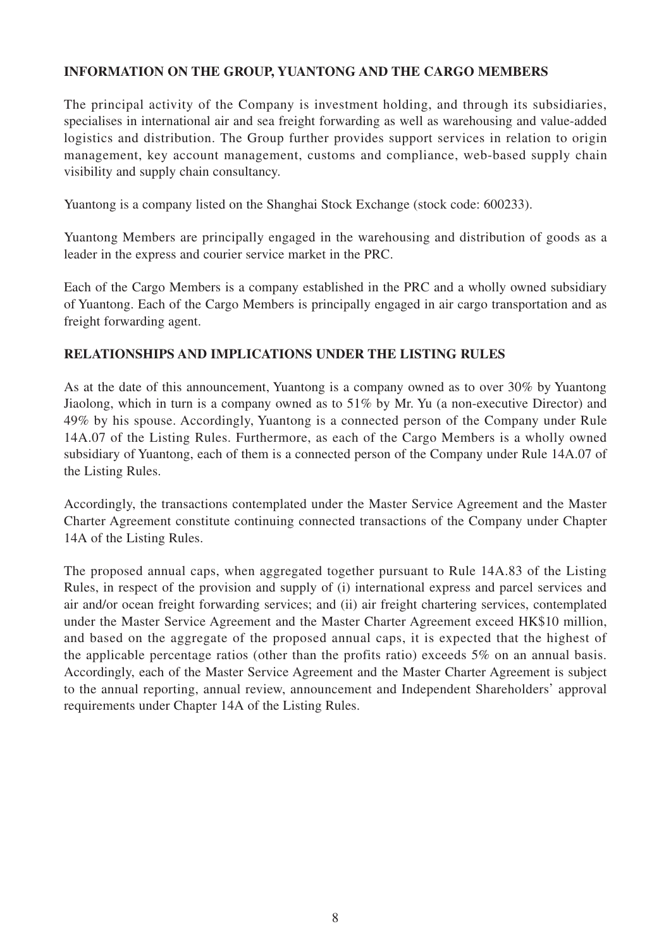# **INFORMATION ON THE GROUP, YUANTONG AND THE CARGO MEMBERS**

The principal activity of the Company is investment holding, and through its subsidiaries, specialises in international air and sea freight forwarding as well as warehousing and value-added logistics and distribution. The Group further provides support services in relation to origin management, key account management, customs and compliance, web-based supply chain visibility and supply chain consultancy.

Yuantong is a company listed on the Shanghai Stock Exchange (stock code: 600233).

Yuantong Members are principally engaged in the warehousing and distribution of goods as a leader in the express and courier service market in the PRC.

Each of the Cargo Members is a company established in the PRC and a wholly owned subsidiary of Yuantong. Each of the Cargo Members is principally engaged in air cargo transportation and as freight forwarding agent.

### **RELATIONSHIPS AND IMPLICATIONS UNDER THE LISTING RULES**

As at the date of this announcement, Yuantong is a company owned as to over 30% by Yuantong Jiaolong, which in turn is a company owned as to 51% by Mr. Yu (a non-executive Director) and 49% by his spouse. Accordingly, Yuantong is a connected person of the Company under Rule 14A.07 of the Listing Rules. Furthermore, as each of the Cargo Members is a wholly owned subsidiary of Yuantong, each of them is a connected person of the Company under Rule 14A.07 of the Listing Rules.

Accordingly, the transactions contemplated under the Master Service Agreement and the Master Charter Agreement constitute continuing connected transactions of the Company under Chapter 14A of the Listing Rules.

The proposed annual caps, when aggregated together pursuant to Rule 14A.83 of the Listing Rules, in respect of the provision and supply of (i) international express and parcel services and air and/or ocean freight forwarding services; and (ii) air freight chartering services, contemplated under the Master Service Agreement and the Master Charter Agreement exceed HK\$10 million, and based on the aggregate of the proposed annual caps, it is expected that the highest of the applicable percentage ratios (other than the profits ratio) exceeds 5% on an annual basis. Accordingly, each of the Master Service Agreement and the Master Charter Agreement is subject to the annual reporting, annual review, announcement and Independent Shareholders' approval requirements under Chapter 14A of the Listing Rules.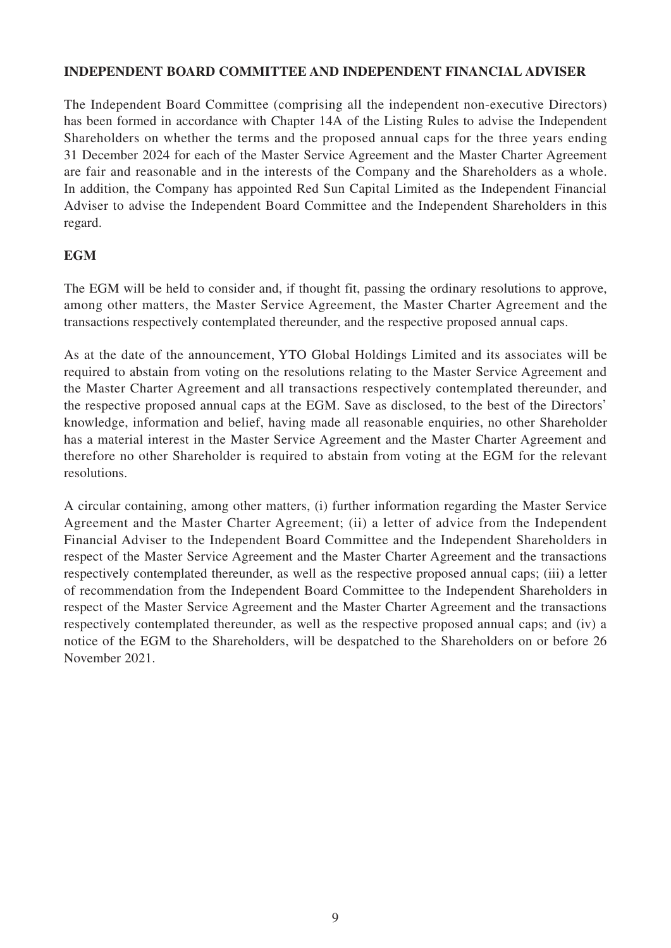### **INDEPENDENT BOARD COMMITTEE AND INDEPENDENT FINANCIAL ADVISER**

The Independent Board Committee (comprising all the independent non-executive Directors) has been formed in accordance with Chapter 14A of the Listing Rules to advise the Independent Shareholders on whether the terms and the proposed annual caps for the three years ending 31 December 2024 for each of the Master Service Agreement and the Master Charter Agreement are fair and reasonable and in the interests of the Company and the Shareholders as a whole. In addition, the Company has appointed Red Sun Capital Limited as the Independent Financial Adviser to advise the Independent Board Committee and the Independent Shareholders in this regard.

# **EGM**

The EGM will be held to consider and, if thought fit, passing the ordinary resolutions to approve, among other matters, the Master Service Agreement, the Master Charter Agreement and the transactions respectively contemplated thereunder, and the respective proposed annual caps.

As at the date of the announcement, YTO Global Holdings Limited and its associates will be required to abstain from voting on the resolutions relating to the Master Service Agreement and the Master Charter Agreement and all transactions respectively contemplated thereunder, and the respective proposed annual caps at the EGM. Save as disclosed, to the best of the Directors' knowledge, information and belief, having made all reasonable enquiries, no other Shareholder has a material interest in the Master Service Agreement and the Master Charter Agreement and therefore no other Shareholder is required to abstain from voting at the EGM for the relevant resolutions.

A circular containing, among other matters, (i) further information regarding the Master Service Agreement and the Master Charter Agreement; (ii) a letter of advice from the Independent Financial Adviser to the Independent Board Committee and the Independent Shareholders in respect of the Master Service Agreement and the Master Charter Agreement and the transactions respectively contemplated thereunder, as well as the respective proposed annual caps; (iii) a letter of recommendation from the Independent Board Committee to the Independent Shareholders in respect of the Master Service Agreement and the Master Charter Agreement and the transactions respectively contemplated thereunder, as well as the respective proposed annual caps; and (iv) a notice of the EGM to the Shareholders, will be despatched to the Shareholders on or before 26 November 2021.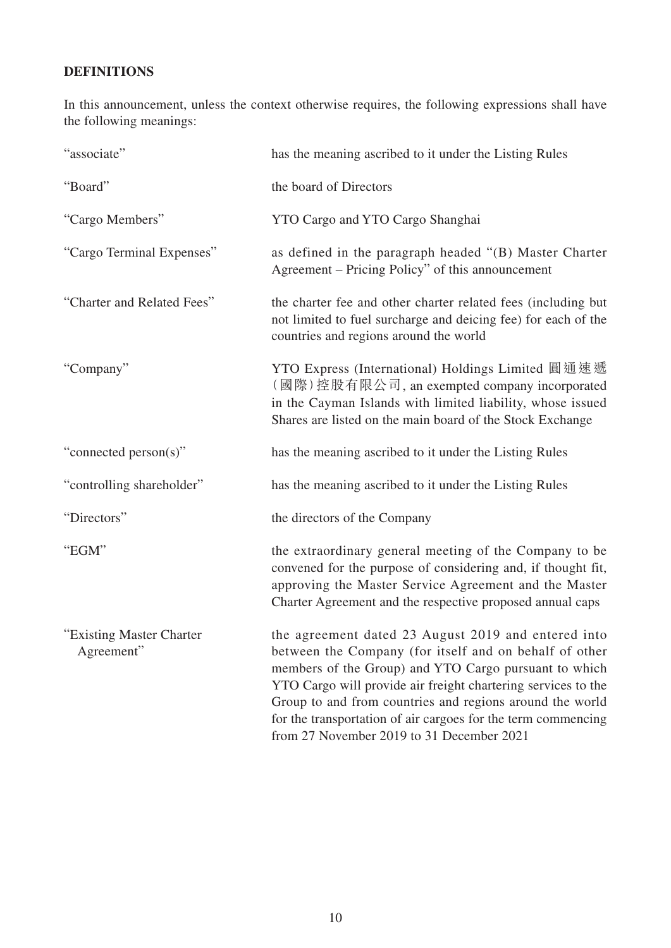# **DEFINITIONS**

In this announcement, unless the context otherwise requires, the following expressions shall have the following meanings:

| "associate"                            | has the meaning ascribed to it under the Listing Rules                                                                                                                                                                                                                                                                                                                                                            |
|----------------------------------------|-------------------------------------------------------------------------------------------------------------------------------------------------------------------------------------------------------------------------------------------------------------------------------------------------------------------------------------------------------------------------------------------------------------------|
| "Board"                                | the board of Directors                                                                                                                                                                                                                                                                                                                                                                                            |
| "Cargo Members"                        | YTO Cargo and YTO Cargo Shanghai                                                                                                                                                                                                                                                                                                                                                                                  |
| "Cargo Terminal Expenses"              | as defined in the paragraph headed "(B) Master Charter<br>Agreement – Pricing Policy" of this announcement                                                                                                                                                                                                                                                                                                        |
| "Charter and Related Fees"             | the charter fee and other charter related fees (including but<br>not limited to fuel surcharge and deicing fee) for each of the<br>countries and regions around the world                                                                                                                                                                                                                                         |
| "Company"                              | YTO Express (International) Holdings Limited 圓通速遞<br>(國際)控股有限公司, an exempted company incorporated<br>in the Cayman Islands with limited liability, whose issued<br>Shares are listed on the main board of the Stock Exchange                                                                                                                                                                                      |
| "connected person(s)"                  | has the meaning ascribed to it under the Listing Rules                                                                                                                                                                                                                                                                                                                                                            |
| "controlling shareholder"              | has the meaning ascribed to it under the Listing Rules                                                                                                                                                                                                                                                                                                                                                            |
| "Directors"                            | the directors of the Company                                                                                                                                                                                                                                                                                                                                                                                      |
| "EGM"                                  | the extraordinary general meeting of the Company to be<br>convened for the purpose of considering and, if thought fit,<br>approving the Master Service Agreement and the Master<br>Charter Agreement and the respective proposed annual caps                                                                                                                                                                      |
| "Existing Master Charter<br>Agreement" | the agreement dated 23 August 2019 and entered into<br>between the Company (for itself and on behalf of other<br>members of the Group) and YTO Cargo pursuant to which<br>YTO Cargo will provide air freight chartering services to the<br>Group to and from countries and regions around the world<br>for the transportation of air cargoes for the term commencing<br>from 27 November 2019 to 31 December 2021 |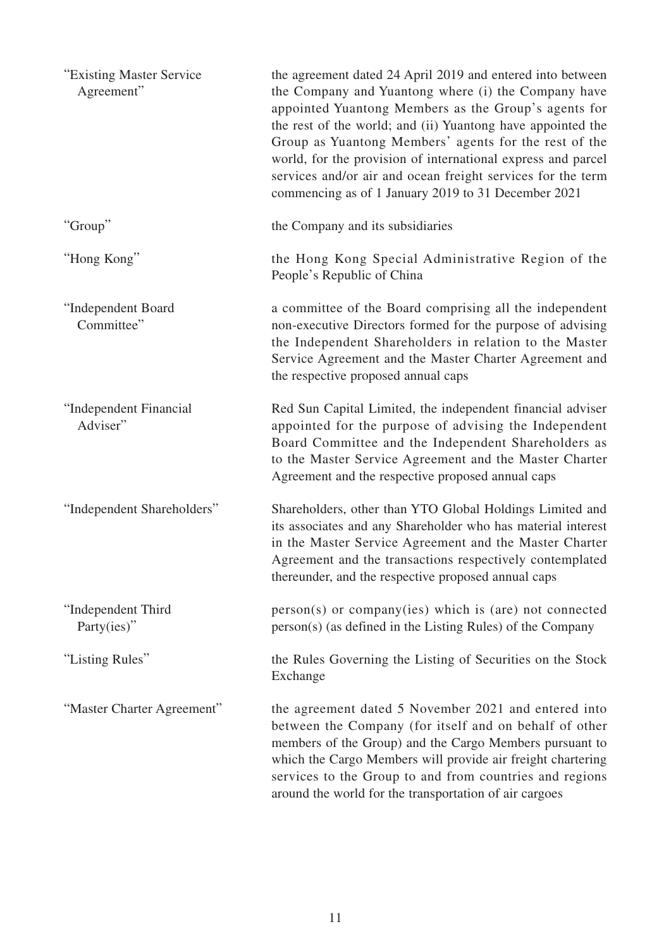| "Existing Master Service"<br>Agreement" | the agreement dated 24 April 2019 and entered into between<br>the Company and Yuantong where (i) the Company have<br>appointed Yuantong Members as the Group's agents for<br>the rest of the world; and (ii) Yuantong have appointed the<br>Group as Yuantong Members' agents for the rest of the<br>world, for the provision of international express and parcel<br>services and/or air and ocean freight services for the term<br>commencing as of 1 January 2019 to 31 December 2021 |
|-----------------------------------------|-----------------------------------------------------------------------------------------------------------------------------------------------------------------------------------------------------------------------------------------------------------------------------------------------------------------------------------------------------------------------------------------------------------------------------------------------------------------------------------------|
| "Group"                                 | the Company and its subsidiaries                                                                                                                                                                                                                                                                                                                                                                                                                                                        |
| "Hong Kong"                             | the Hong Kong Special Administrative Region of the<br>People's Republic of China                                                                                                                                                                                                                                                                                                                                                                                                        |
| "Independent Board<br>Committee"        | a committee of the Board comprising all the independent<br>non-executive Directors formed for the purpose of advising<br>the Independent Shareholders in relation to the Master<br>Service Agreement and the Master Charter Agreement and<br>the respective proposed annual caps                                                                                                                                                                                                        |
| "Independent Financial<br>Adviser"      | Red Sun Capital Limited, the independent financial adviser<br>appointed for the purpose of advising the Independent<br>Board Committee and the Independent Shareholders as<br>to the Master Service Agreement and the Master Charter<br>Agreement and the respective proposed annual caps                                                                                                                                                                                               |
| "Independent Shareholders"              | Shareholders, other than YTO Global Holdings Limited and<br>its associates and any Shareholder who has material interest<br>in the Master Service Agreement and the Master Charter<br>Agreement and the transactions respectively contemplated<br>thereunder, and the respective proposed annual caps                                                                                                                                                                                   |
| "Independent Third<br>Party(ies)"       | person(s) or company(ies) which is (are) not connected<br>person(s) (as defined in the Listing Rules) of the Company                                                                                                                                                                                                                                                                                                                                                                    |
| "Listing Rules"                         | the Rules Governing the Listing of Securities on the Stock<br>Exchange                                                                                                                                                                                                                                                                                                                                                                                                                  |
| "Master Charter Agreement"              | the agreement dated 5 November 2021 and entered into<br>between the Company (for itself and on behalf of other<br>members of the Group) and the Cargo Members pursuant to<br>which the Cargo Members will provide air freight chartering<br>services to the Group to and from countries and regions<br>around the world for the transportation of air cargoes                                                                                                                           |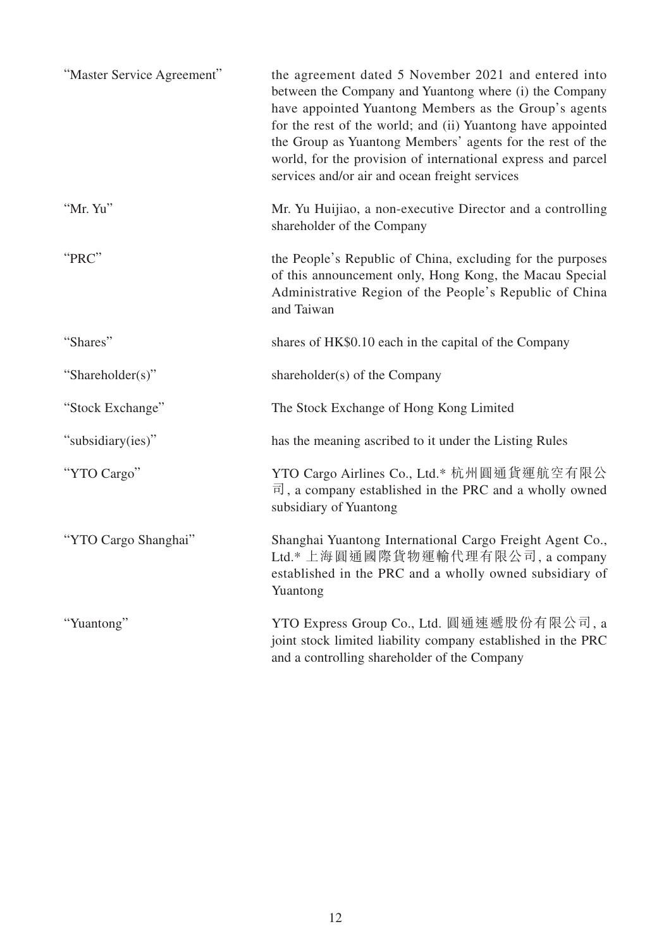| "Master Service Agreement" | the agreement dated 5 November 2021 and entered into<br>between the Company and Yuantong where (i) the Company<br>have appointed Yuantong Members as the Group's agents<br>for the rest of the world; and (ii) Yuantong have appointed<br>the Group as Yuantong Members' agents for the rest of the<br>world, for the provision of international express and parcel<br>services and/or air and ocean freight services |
|----------------------------|-----------------------------------------------------------------------------------------------------------------------------------------------------------------------------------------------------------------------------------------------------------------------------------------------------------------------------------------------------------------------------------------------------------------------|
| "Mr. Yu"                   | Mr. Yu Huijiao, a non-executive Director and a controlling<br>shareholder of the Company                                                                                                                                                                                                                                                                                                                              |
| "PRC"                      | the People's Republic of China, excluding for the purposes<br>of this announcement only, Hong Kong, the Macau Special<br>Administrative Region of the People's Republic of China<br>and Taiwan                                                                                                                                                                                                                        |
| "Shares"                   | shares of HK\$0.10 each in the capital of the Company                                                                                                                                                                                                                                                                                                                                                                 |
| "Shareholder(s)"           | shareholder(s) of the Company                                                                                                                                                                                                                                                                                                                                                                                         |
| "Stock Exchange"           | The Stock Exchange of Hong Kong Limited                                                                                                                                                                                                                                                                                                                                                                               |
| "subsidiary(ies)"          | has the meaning ascribed to it under the Listing Rules                                                                                                                                                                                                                                                                                                                                                                |
| "YTO Cargo"                | YTO Cargo Airlines Co., Ltd.* 杭州圓通貨運航空有限公<br>$\overline{\mathbb{H}}$ , a company established in the PRC and a wholly owned<br>subsidiary of Yuantong                                                                                                                                                                                                                                                                  |
| "YTO Cargo Shanghai"       | Shanghai Yuantong International Cargo Freight Agent Co.,<br>Ltd.* 上海圓通國際貨物運輸代理有限公司, a company<br>established in the PRC and a wholly owned subsidiary of<br>Yuantong                                                                                                                                                                                                                                                  |
| "Yuantong"                 | YTO Express Group Co., Ltd. 圓通速遞股份有限公司, a<br>joint stock limited liability company established in the PRC<br>and a controlling shareholder of the Company                                                                                                                                                                                                                                                             |